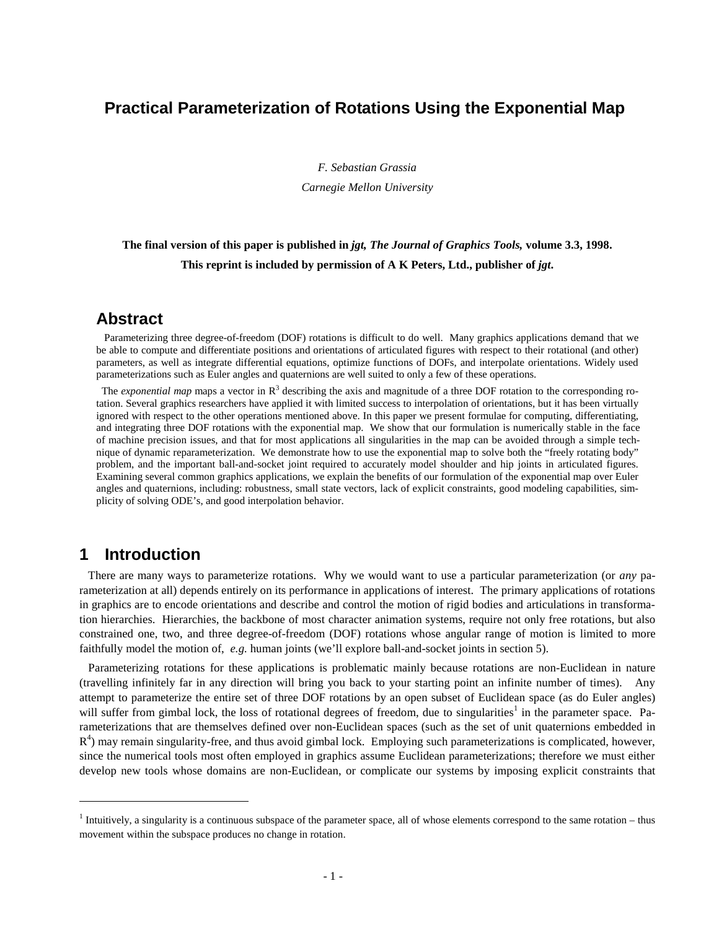## **Practical Parameterization of Rotations Using the Exponential Map**

*F. Sebastian Grassia Carnegie Mellon University*

## **The final version of this paper is published in** *jgt, The Journal of Graphics Tools,* **volume 3.3, 1998.** This reprint is included by permission of A K Peters, Ltd., publisher of *jgt*.

### **Abstract**

 Parameterizing three degree-of-freedom (DOF) rotations is difficult to do well. Many graphics applications demand that we be able to compute and differentiate positions and orientations of articulated figures with respect to their rotational (and other) parameters, as well as integrate differential equations, optimize functions of DOFs, and interpolate orientations. Widely used parameterizations such as Euler angles and quaternions are well suited to only a few of these operations.

The *exponential map* maps a vector in  $R<sup>3</sup>$  describing the axis and magnitude of a three DOF rotation to the corresponding rotation. Several graphics researchers have applied it with limited success to interpolation of orientations, but it has been virtually ignored with respect to the other operations mentioned above. In this paper we present formulae for computing, differentiating, and integrating three DOF rotations with the exponential map. We show that our formulation is numerically stable in the face of machine precision issues, and that for most applications all singularities in the map can be avoided through a simple technique of dynamic reparameterization. We demonstrate how to use the exponential map to solve both the "freely rotating body" problem, and the important ball-and-socket joint required to accurately model shoulder and hip joints in articulated figures. Examining several common graphics applications, we explain the benefits of our formulation of the exponential map over Euler angles and quaternions, including: robustness, small state vectors, lack of explicit constraints, good modeling capabilities, simplicity of solving ODE's, and good interpolation behavior.

### **1 Introduction**

 $\overline{a}$ 

 There are many ways to parameterize rotations. Why we would want to use a particular parameterization (or *any* parameterization at all) depends entirely on its performance in applications of interest. The primary applications of rotations in graphics are to encode orientations and describe and control the motion of rigid bodies and articulations in transformation hierarchies. Hierarchies, the backbone of most character animation systems, require not only free rotations, but also constrained one, two, and three degree-of-freedom (DOF) rotations whose angular range of motion is limited to more faithfully model the motion of, *e.g.* human joints (we'll explore ball-and-socket joints in section 5).

 Parameterizing rotations for these applications is problematic mainly because rotations are non-Euclidean in nature (travelling infinitely far in any direction will bring you back to your starting point an infinite number of times). Any attempt to parameterize the entire set of three DOF rotations by an open subset of Euclidean space (as do Euler angles) will suffer from gimbal lock, the loss of rotational degrees of freedom, due to singularities<sup>1</sup> in the parameter space. Parameterizations that are themselves defined over non-Euclidean spaces (such as the set of unit quaternions embedded in  $R<sup>4</sup>$ ) may remain singularity-free, and thus avoid gimbal lock. Employing such parameterizations is complicated, however, since the numerical tools most often employed in graphics assume Euclidean parameterizations; therefore we must either develop new tools whose domains are non-Euclidean, or complicate our systems by imposing explicit constraints that

<sup>&</sup>lt;sup>1</sup> Intuitively, a singularity is a continuous subspace of the parameter space, all of whose elements correspond to the same rotation – thus movement within the subspace produces no change in rotation.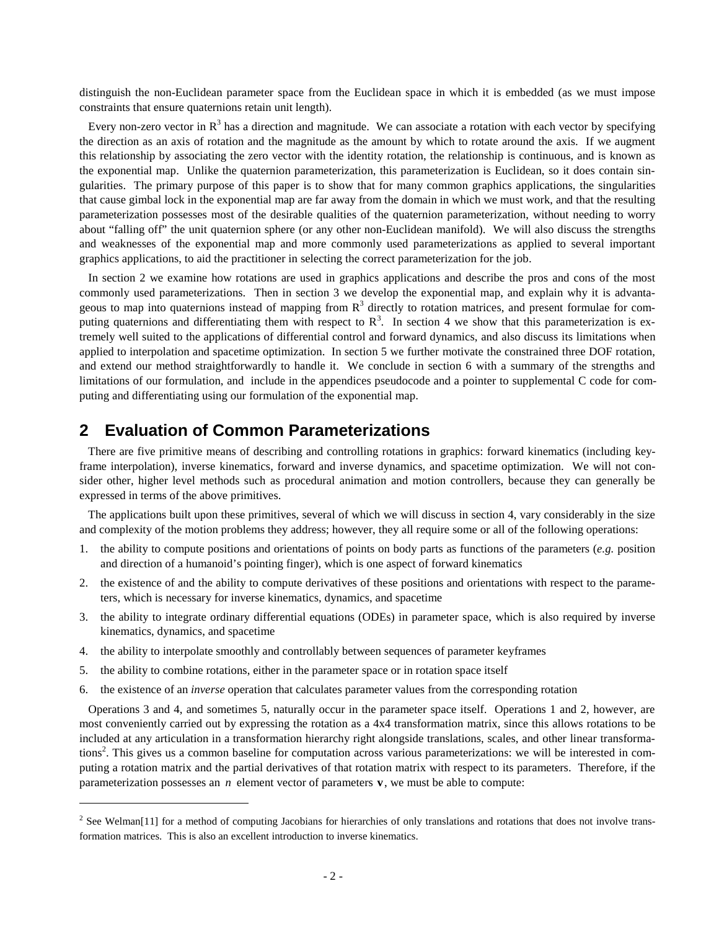distinguish the non-Euclidean parameter space from the Euclidean space in which it is embedded (as we must impose constraints that ensure quaternions retain unit length).

Every non-zero vector in  $R<sup>3</sup>$  has a direction and magnitude. We can associate a rotation with each vector by specifying the direction as an axis of rotation and the magnitude as the amount by which to rotate around the axis. If we augment this relationship by associating the zero vector with the identity rotation, the relationship is continuous, and is known as the exponential map. Unlike the quaternion parameterization, this parameterization is Euclidean, so it does contain singularities. The primary purpose of this paper is to show that for many common graphics applications, the singularities that cause gimbal lock in the exponential map are far away from the domain in which we must work, and that the resulting parameterization possesses most of the desirable qualities of the quaternion parameterization, without needing to worry about "falling off" the unit quaternion sphere (or any other non-Euclidean manifold). We will also discuss the strengths and weaknesses of the exponential map and more commonly used parameterizations as applied to several important graphics applications, to aid the practitioner in selecting the correct parameterization for the job.

 In section 2 we examine how rotations are used in graphics applications and describe the pros and cons of the most commonly used parameterizations. Then in section 3 we develop the exponential map, and explain why it is advantageous to map into quaternions instead of mapping from  $\mathbb{R}^3$  directly to rotation matrices, and present formulae for computing quaternions and differentiating them with respect to  $R<sup>3</sup>$ . In section 4 we show that this parameterization is extremely well suited to the applications of differential control and forward dynamics, and also discuss its limitations when applied to interpolation and spacetime optimization. In section 5 we further motivate the constrained three DOF rotation, and extend our method straightforwardly to handle it. We conclude in section 6 with a summary of the strengths and limitations of our formulation, and include in the appendices pseudocode and a pointer to supplemental C code for computing and differentiating using our formulation of the exponential map.

## **2 Evaluation of Common Parameterizations**

 There are five primitive means of describing and controlling rotations in graphics: forward kinematics (including keyframe interpolation), inverse kinematics, forward and inverse dynamics, and spacetime optimization. We will not consider other, higher level methods such as procedural animation and motion controllers, because they can generally be expressed in terms of the above primitives.

 The applications built upon these primitives, several of which we will discuss in section 4, vary considerably in the size and complexity of the motion problems they address; however, they all require some or all of the following operations:

- 1. the ability to compute positions and orientations of points on body parts as functions of the parameters (*e.g.* position and direction of a humanoid's pointing finger), which is one aspect of forward kinematics
- 2. the existence of and the ability to compute derivatives of these positions and orientations with respect to the parameters, which is necessary for inverse kinematics, dynamics, and spacetime
- 3. the ability to integrate ordinary differential equations (ODEs) in parameter space, which is also required by inverse kinematics, dynamics, and spacetime
- 4. the ability to interpolate smoothly and controllably between sequences of parameter keyframes
- 5. the ability to combine rotations, either in the parameter space or in rotation space itself

j

6. the existence of an *inverse* operation that calculates parameter values from the corresponding rotation

 Operations 3 and 4, and sometimes 5, naturally occur in the parameter space itself. Operations 1 and 2, however, are most conveniently carried out by expressing the rotation as a 4x4 transformation matrix, since this allows rotations to be included at any articulation in a transformation hierarchy right alongside translations, scales, and other linear transformations<sup>2</sup>. This gives us a common baseline for computation across various parameterizations: we will be interested in computing a rotation matrix and the partial derivatives of that rotation matrix with respect to its parameters. Therefore, if the parameterization possesses an  $n$  element vector of parameters  $\bf{v}$ , we must be able to compute:

 $2^2$  See Welman[11] for a method of computing Jacobians for hierarchies of only translations and rotations that does not involve transformation matrices. This is also an excellent introduction to inverse kinematics.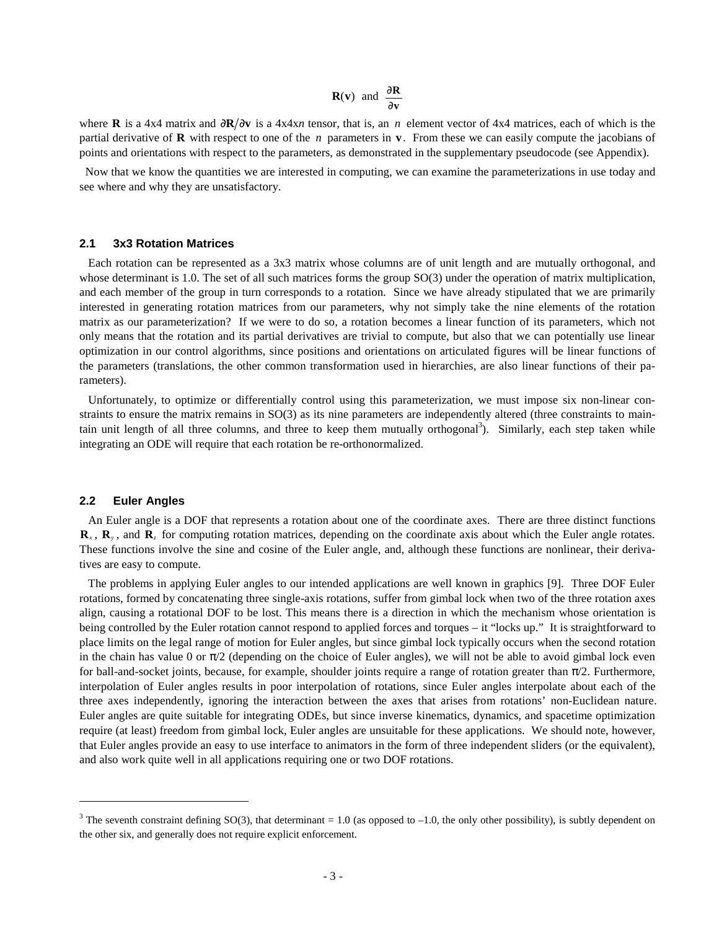$$
\mathbf{R}(\mathbf{v}) \text{ and } \frac{\partial \mathbf{R}}{\partial \mathbf{v}}
$$

where **R** is a 4x4 matrix and  $\partial \mathbf{R}/\partial \mathbf{v}$  is a 4x4x*n* tensor, that is, an *n* element vector of 4x4 matrices, each of which is the partial derivative of **R** with respect to one of the *n* parameters in **v**. From these we can easily compute the jacobians of points and orientations with respect to the parameters, as demonstrated in the supplementary pseudocode (see Appendix).

 Now that we know the quantities we are interested in computing, we can examine the parameterizations in use today and see where and why they are unsatisfactory.

### **2.1 3x3 Rotation Matrices**

 Each rotation can be represented as a 3x3 matrix whose columns are of unit length and are mutually orthogonal, and whose determinant is 1.0. The set of all such matrices forms the group SO(3) under the operation of matrix multiplication, and each member of the group in turn corresponds to a rotation. Since we have already stipulated that we are primarily interested in generating rotation matrices from our parameters, why not simply take the nine elements of the rotation matrix as our parameterization? If we were to do so, a rotation becomes a linear function of its parameters, which not only means that the rotation and its partial derivatives are trivial to compute, but also that we can potentially use linear optimization in our control algorithms, since positions and orientations on articulated figures will be linear functions of the parameters (translations, the other common transformation used in hierarchies, are also linear functions of their parameters).

 Unfortunately, to optimize or differentially control using this parameterization, we must impose six non-linear constraints to ensure the matrix remains in SO(3) as its nine parameters are independently altered (three constraints to maintain unit length of all three columns, and three to keep them mutually orthogonal<sup>3</sup>). Similarly, each step taken while integrating an ODE will require that each rotation be re-orthonormalized.

#### **2.2 Euler Angles**

 $\overline{a}$ 

 An Euler angle is a DOF that represents a rotation about one of the coordinate axes. There are three distinct functions  $\mathbf{R}_x$ ,  $\mathbf{R}_y$ , and  $\mathbf{R}_z$  for computing rotation matrices, depending on the coordinate axis about which the Euler angle rotates. These functions involve the sine and cosine of the Euler angle, and, although these functions are nonlinear, their derivatives are easy to compute.

 The problems in applying Euler angles to our intended applications are well known in graphics [9]. Three DOF Euler rotations, formed by concatenating three single-axis rotations, suffer from gimbal lock when two of the three rotation axes align, causing a rotational DOF to be lost. This means there is a direction in which the mechanism whose orientation is being controlled by the Euler rotation cannot respond to applied forces and torques – it "locks up." It is straightforward to place limits on the legal range of motion for Euler angles, but since gimbal lock typically occurs when the second rotation in the chain has value 0 or  $\pi/2$  (depending on the choice of Euler angles), we will not be able to avoid gimbal lock even for ball-and-socket joints, because, for example, shoulder joints require a range of rotation greater than  $\pi/2$ . Furthermore, interpolation of Euler angles results in poor interpolation of rotations, since Euler angles interpolate about each of the three axes independently, ignoring the interaction between the axes that arises from rotations' non-Euclidean nature. Euler angles are quite suitable for integrating ODEs, but since inverse kinematics, dynamics, and spacetime optimization require (at least) freedom from gimbal lock, Euler angles are unsuitable for these applications. We should note, however, that Euler angles provide an easy to use interface to animators in the form of three independent sliders (or the equivalent), and also work quite well in all applications requiring one or two DOF rotations.

<sup>&</sup>lt;sup>3</sup> The seventh constraint defining SO(3), that determinant = 1.0 (as opposed to –1.0, the only other possibility), is subtly dependent on the other six, and generally does not require explicit enforcement.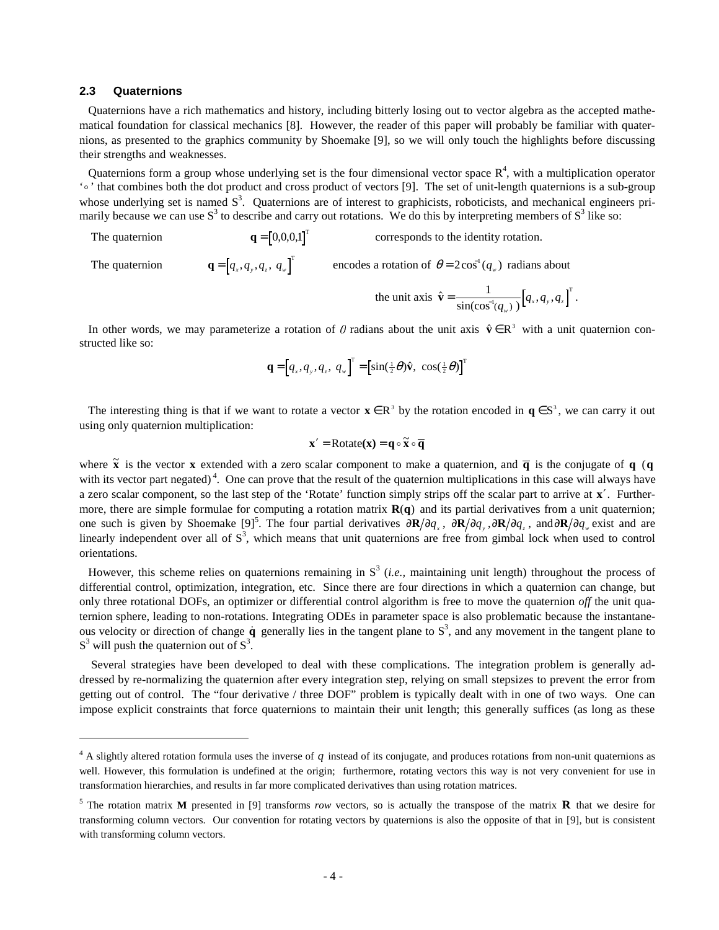### **2.3 Quaternions**

 $\overline{a}$ 

 Quaternions have a rich mathematics and history, including bitterly losing out to vector algebra as the accepted mathematical foundation for classical mechanics [8]. However, the reader of this paper will probably be familiar with quaternions, as presented to the graphics community by Shoemake [9], so we will only touch the highlights before discussing their strengths and weaknesses.

Quaternions form a group whose underlying set is the four dimensional vector space  $R<sup>4</sup>$ , with a multiplication operator 'o' that combines both the dot product and cross product of vectors [9]. The set of unit-length quaternions is a sub-group whose underlying set is named  $S<sup>3</sup>$ . Quaternions are of interest to graphicists, roboticists, and mechanical engineers primarily because we can use  $S^3$  to describe and carry out rotations. We do this by interpreting members of  $S^3$  like so:

The quaternion  $\mathbf{q} = \begin{bmatrix} 0,0,0,1 \end{bmatrix}^T$ corresponds to the identity rotation. The quaternion  $\mathbf{q} = [q_x, q_y, q_z, q_w]^\mathsf{T}$  encodes a rotation of  $\theta = 2\cos^1(q_w)$  radians about

the unit axis  $\hat{\mathbf{v}} = \frac{1}{\sin(\cos^{-1}(q_{w}))} [q_{x}, q_{y}, q_{z}]^{\text{T}}$  $\frac{1}{(q_{w})} [q_{x}, q_{y}, q_{z}]$  $\frac{1}{\sqrt{y}}[q_x, q_y, q_z]$ .

In other words, we may parameterize a rotation of  $\theta$  radians about the unit axis  $\hat{\mathbf{v}} \in \mathbb{R}^3$  with a unit quaternion constructed like so:

$$
\mathbf{q} = \left[q_x, q_y, q_z, q_w\right]^{\mathrm{T}} = \left[\sin(\frac{1}{2}\theta)\hat{\mathbf{v}}, \cos(\frac{1}{2}\theta)\right]^{\mathrm{T}}
$$

The interesting thing is that if we want to rotate a vector  $\mathbf{x} \in \mathbb{R}^3$  by the rotation encoded in  $\mathbf{q} \in \mathbb{S}^3$ , we can carry it out using only quaternion multiplication:

$$
x' = \text{Rotate}(x) = q \circ \widetilde{x} \circ \overline{q}
$$

where  $\tilde{\mathbf{x}}$  is the vector **x** extended with a zero scalar component to make a quaternion, and  $\overline{\mathbf{q}}$  is the conjugate of **q** (**q**) with its vector part negated)<sup>4</sup>. One can prove that the result of the quaternion multiplications in this case will always have a zero scalar component, so the last step of the 'Rotate' function simply strips off the scalar part to arrive at **x**′. Furthermore, there are simple formulae for computing a rotation matrix  $\mathbf{R}(\mathbf{q})$  and its partial derivatives from a unit quaternion; one such is given by Shoemake [9]<sup>5</sup>. The four partial derivatives  $\frac{\partial \mathbf{R}}{\partial q_x}$ ,  $\frac{\partial \mathbf{R}}{\partial q_y}$ ,  $\frac{\partial \mathbf{R}}{\partial q_z}$ , and $\frac{\partial \mathbf{R}}{\partial q_w}$  exist and are linearly independent over all of  $S^3$ , which means that unit quaternions are free from gimbal lock when used to control orientations.

However, this scheme relies on quaternions remaining in  $S<sup>3</sup>$  (*i.e.*, maintaining unit length) throughout the process of differential control, optimization, integration, etc. Since there are four directions in which a quaternion can change, but only three rotational DOFs, an optimizer or differential control algorithm is free to move the quaternion *off* the unit quaternion sphere, leading to non-rotations. Integrating ODEs in parameter space is also problematic because the instantaneous velocity or direction of change  $\dot{q}$  generally lies in the tangent plane to  $S^3$ , and any movement in the tangent plane to  $S<sup>3</sup>$  will push the quaternion out of  $S<sup>3</sup>$ .

 Several strategies have been developed to deal with these complications. The integration problem is generally addressed by re-normalizing the quaternion after every integration step, relying on small stepsizes to prevent the error from getting out of control. The "four derivative / three DOF" problem is typically dealt with in one of two ways. One can impose explicit constraints that force quaternions to maintain their unit length; this generally suffices (as long as these

 $4$  A slightly altered rotation formula uses the inverse of  $q$  instead of its conjugate, and produces rotations from non-unit quaternions as well. However, this formulation is undefined at the origin; furthermore, rotating vectors this way is not very convenient for use in transformation hierarchies, and results in far more complicated derivatives than using rotation matrices.

<sup>5</sup> The rotation matrix **M** presented in [9] transforms *row* vectors, so is actually the transpose of the matrix **R** that we desire for transforming column vectors. Our convention for rotating vectors by quaternions is also the opposite of that in [9], but is consistent with transforming column vectors.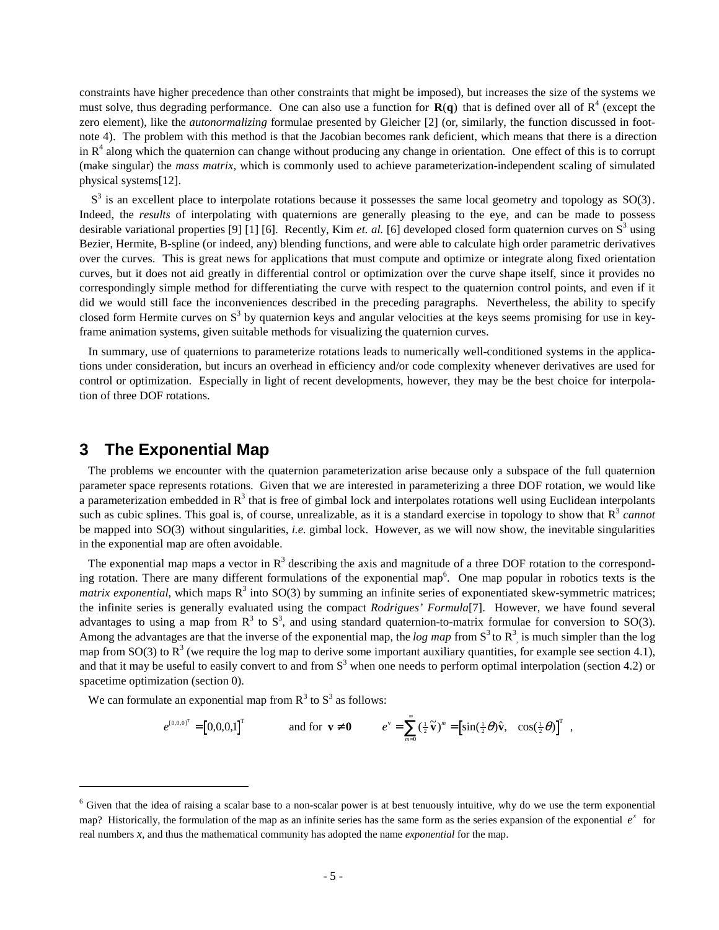constraints have higher precedence than other constraints that might be imposed), but increases the size of the systems we must solve, thus degrading performance. One can also use a function for  $R(q)$  that is defined over all of  $R^4$  (except the zero element), like the *autonormalizing* formulae presented by Gleicher [2] (or, similarly, the function discussed in footnote 4). The problem with this method is that the Jacobian becomes rank deficient, which means that there is a direction in  $R<sup>4</sup>$  along which the quaternion can change without producing any change in orientation. One effect of this is to corrupt (make singular) the *mass matrix*, which is commonly used to achieve parameterization-independent scaling of simulated physical systems[12].

 $S<sup>3</sup>$  is an excellent place to interpolate rotations because it possesses the same local geometry and topology as  $SO(3)$ . Indeed, the *results* of interpolating with quaternions are generally pleasing to the eye, and can be made to possess desirable variational properties [9] [1] [6]. Recently, Kim *et. al.* [6] developed closed form quaternion curves on  $S<sup>3</sup>$  using Bezier, Hermite, B-spline (or indeed, any) blending functions, and were able to calculate high order parametric derivatives over the curves. This is great news for applications that must compute and optimize or integrate along fixed orientation curves, but it does not aid greatly in differential control or optimization over the curve shape itself, since it provides no correspondingly simple method for differentiating the curve with respect to the quaternion control points, and even if it did we would still face the inconveniences described in the preceding paragraphs. Nevertheless, the ability to specify closed form Hermite curves on  $S<sup>3</sup>$  by quaternion keys and angular velocities at the keys seems promising for use in keyframe animation systems, given suitable methods for visualizing the quaternion curves.

 In summary, use of quaternions to parameterize rotations leads to numerically well-conditioned systems in the applications under consideration, but incurs an overhead in efficiency and/or code complexity whenever derivatives are used for control or optimization. Especially in light of recent developments, however, they may be the best choice for interpolation of three DOF rotations.

### **3 The Exponential Map**

 $\overline{a}$ 

 The problems we encounter with the quaternion parameterization arise because only a subspace of the full quaternion parameter space represents rotations. Given that we are interested in parameterizing a three DOF rotation, we would like a parameterization embedded in  $R<sup>3</sup>$  that is free of gimbal lock and interpolates rotations well using Euclidean interpolants such as cubic splines. This goal is, of course, unrealizable, as it is a standard exercise in topology to show that  $R<sup>3</sup>$  *cannot* be mapped into SO(3) without singularities, *i.e.* gimbal lock. However, as we will now show, the inevitable singularities in the exponential map are often avoidable.

The exponential map maps a vector in  $R<sup>3</sup>$  describing the axis and magnitude of a three DOF rotation to the corresponding rotation. There are many different formulations of the exponential map<sup>6</sup>. One map popular in robotics texts is the *matrix exponential*, which maps  $R^3$  into SO(3) by summing an infinite series of exponentiated skew-symmetric matrices; the infinite series is generally evaluated using the compact *Rodrigues' Formula*[7]. However, we have found several advantages to using a map from  $R^3$  to  $S^3$ , and using standard quaternion-to-matrix formulae for conversion to SO(3). Among the advantages are that the inverse of the exponential map, the  $log$  map from  $S^3$  to  $R^3$ , is much simpler than the log map from SO(3) to  $R^3$  (we require the log map to derive some important auxiliary quantities, for example see section 4.1), and that it may be useful to easily convert to and from  $S<sup>3</sup>$  when one needs to perform optimal interpolation (section 4.2) or spacetime optimization (section 0).

We can formulate an exponential map from  $R<sup>3</sup>$  to  $S<sup>3</sup>$  as follows:

$$
e^{[0,0,0]^{\mathrm{T}}} = [0,0,0,1]^{\mathrm{T}} \quad \text{and for } \mathbf{v} \neq \mathbf{0} \quad e^{\mathbf{v}} = \sum_{m=0}^{\infty} (\frac{1}{2} \widetilde{\mathbf{v}})^{m} = [\sin(\frac{1}{2} \theta) \widehat{\mathbf{v}}, \quad \cos(\frac{1}{2} \theta)]^{\mathrm{T}} \quad ,
$$

<sup>&</sup>lt;sup>6</sup> Given that the idea of raising a scalar base to a non-scalar power is at best tenuously intuitive, why do we use the term exponential map? Historically, the formulation of the map as an infinite series has the same form as the series expansion of the exponential  $e^x$  for real numbers *x*, and thus the mathematical community has adopted the name *exponential* for the map.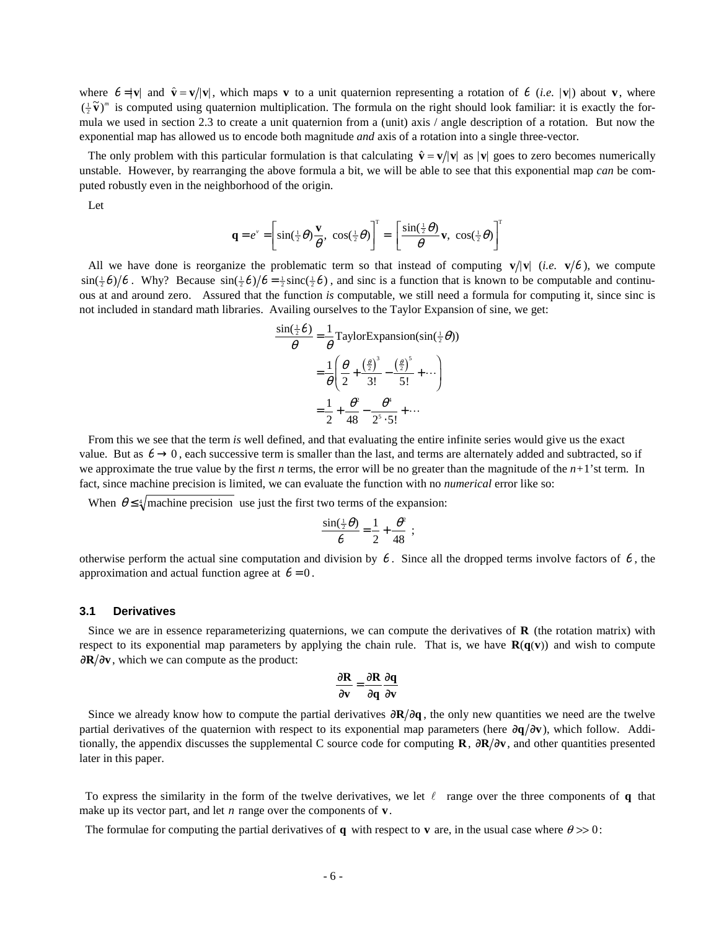where  $\theta = |\mathbf{v}|$  and  $\hat{\mathbf{v}} = \mathbf{v}/|\mathbf{v}|$ , which maps **v** to a unit quaternion representing a rotation of  $\theta$  (*i.e.*  $|\mathbf{v}|$ ) about **v**, where  $(\frac{1}{2}\tilde{\mathbf{v}})^m$  is computed using quaternion multiplication. The formula on the right should look familiar: it is exactly the formula we used in section 2.3 to create a unit quaternion from a (unit) axis / angle description of a rotation. But now the exponential map has allowed us to encode both magnitude *and* axis of a rotation into a single three-vector*.*

The only problem with this particular formulation is that calculating  $\hat{\mathbf{v}} = \mathbf{v}/|\mathbf{v}|$  as  $|\mathbf{v}|$  goes to zero becomes numerically unstable. However, by rearranging the above formula a bit, we will be able to see that this exponential map *can* be computed robustly even in the neighborhood of the origin.

Let

$$
\mathbf{q} = e^{\nu} = \left[\sin(\frac{1}{2}\theta)\frac{\mathbf{v}}{\theta}, \ \cos(\frac{1}{2}\theta)\right]^{\mathrm{T}} = \left[\frac{\sin(\frac{1}{2}\theta)}{\theta}\mathbf{v}, \ \cos(\frac{1}{2}\theta)\right]^{\mathrm{T}}
$$

All we have done is reorganize the problematic term so that instead of computing  $\mathbf{v}/|\mathbf{v}|$  (*i.e.*  $\mathbf{v}/\theta$ ), we compute  $\sin(\frac{1}{2}\theta)/\theta$ . Why? Because  $\sin(\frac{1}{2}\theta)/\theta = \frac{1}{2}\text{sinc}(\frac{1}{2}\theta)$ , and sinc is a function that is known to be computable and continuous at and around zero. Assured that the function *is* computable, we still need a formula for computing it, since sinc is not included in standard math libraries. Availing ourselves to the Taylor Expansion of sine, we get:

$$
\frac{\sin(\frac{1}{2}\theta)}{\theta} = \frac{1}{\theta} \text{TaylorExpansion}(\sin(\frac{1}{2}\theta))
$$

$$
= \frac{1}{\theta} \left( \frac{\theta}{2} + \frac{(\frac{\theta}{2})^3}{3!} - \frac{(\frac{\theta}{2})^5}{5!} + \cdots \right)
$$

$$
= \frac{1}{2} + \frac{\theta^2}{48} - \frac{\theta^4}{2^5 \cdot 5!} + \cdots
$$

 From this we see that the term *is* well defined, and that evaluating the entire infinite series would give us the exact value. But as  $\theta \rightarrow 0$ , each successive term is smaller than the last, and terms are alternately added and subtracted, so if we approximate the true value by the first  $n$  terms, the error will be no greater than the magnitude of the  $n+1$ 'st term. In fact, since machine precision is limited, we can evaluate the function with no *numerical* error like so:

When  $\theta \leq \sqrt[4]{\text{machine precision}}$  use just the first two terms of the expansion:

$$
\frac{\sin(\frac{1}{2}\theta)}{\theta} = \frac{1}{2} + \frac{\theta^2}{48} ;
$$

otherwise perform the actual sine computation and division by  $\theta$ . Since all the dropped terms involve factors of  $\theta$ , the approximation and actual function agree at  $\theta = 0$ .

#### **3.1 Derivatives**

 Since we are in essence reparameterizing quaternions, we can compute the derivatives of **R** (the rotation matrix) with respect to its exponential map parameters by applying the chain rule. That is, we have  $\mathbf{R}(\mathbf{q}(\mathbf{v}))$  and wish to compute ∂R/∂v, which we can compute as the product:

$$
\frac{\partial \mathbf{R}}{\partial \mathbf{v}} = \frac{\partial \mathbf{R}}{\partial \mathbf{q}} \frac{\partial \mathbf{q}}{\partial \mathbf{v}}
$$

Since we already know how to compute the partial derivatives  $\frac{\partial \mathbf{R}}{\partial q}$ , the only new quantities we need are the twelve partial derivatives of the quaternion with respect to its exponential map parameters (here  $\frac{\partial q}{\partial v}$ ), which follow. Additionally, the appendix discusses the supplemental C source code for computing  $\bf{R}$ ,  $\partial \bf{R}/\partial v$ , and other quantities presented later in this paper.

To express the similarity in the form of the twelve derivatives, we let  $\ell$  range over the three components of **q** that make up its vector part, and let *n* range over the components of **v**.

The formulae for computing the partial derivatives of **q** with respect to **v** are, in the usual case where  $\theta \gg 0$ :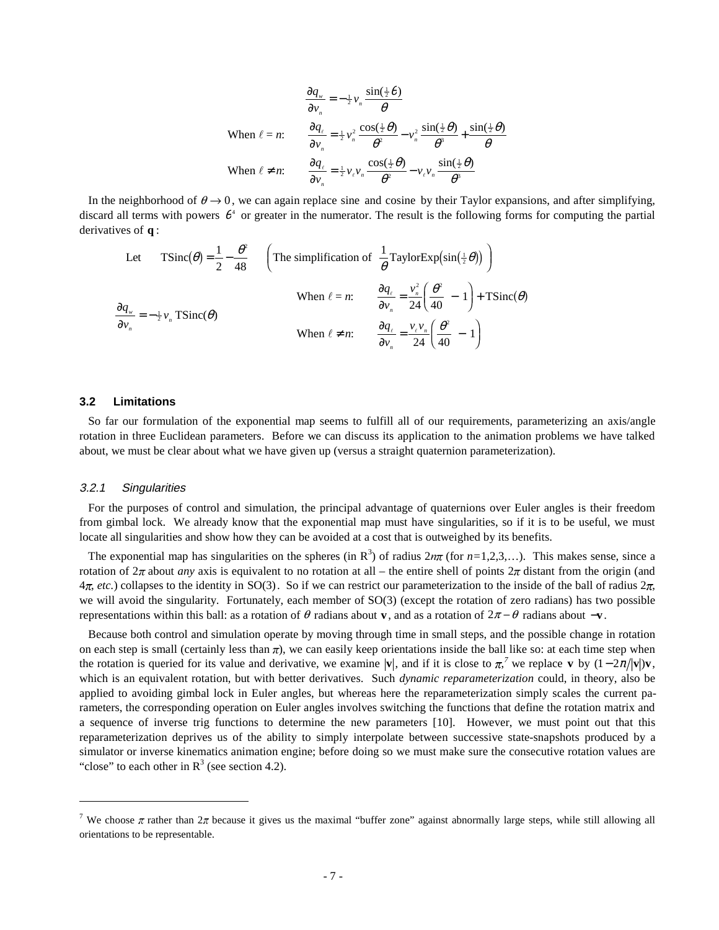$$
\frac{\partial q_w}{\partial v_n} = -\frac{1}{2} v_n \frac{\sin(\frac{1}{2}\theta)}{\theta}
$$
  
When  $\ell = n$ :  

$$
\frac{\partial q_\ell}{\partial v_n} = \frac{1}{2} v_n^2 \frac{\cos(\frac{1}{2}\theta)}{\theta^2} - v_n^2 \frac{\sin(\frac{1}{2}\theta)}{\theta^3} + \frac{\sin(\frac{1}{2}\theta)}{\theta}
$$
  
When  $\ell \neq n$ :  

$$
\frac{\partial q_\ell}{\partial v_n} = \frac{1}{2} v_\ell v_n \frac{\cos(\frac{1}{2}\theta)}{\theta^2} - v_\ell v_n \frac{\sin(\frac{1}{2}\theta)}{\theta^3}
$$

In the neighborhood of  $\theta \rightarrow 0$ , we can again replace sine and cosine by their Taylor expansions, and after simplifying, discard all terms with powers  $\theta^4$  or greater in the numerator. The result is the following forms for computing the partial derivatives of **q** :

Let 
$$
\text{TSinc}(\theta) = \frac{1}{2} - \frac{\theta^2}{48}
$$
  $\left(\text{The simplification of } \frac{1}{\theta} \text{TaylorExp}(\sin(\frac{1}{2}\theta))\right)$   
\nWhen  $\ell = n$ :  $\frac{\partial q_{\ell}}{\partial v_n} = \frac{v_n^2}{24} \left(\frac{\theta^2}{40} - 1\right) + \text{TSinc}(\theta)$   
\nWhen  $\ell \neq n$ :  $\frac{\partial q_{\ell}}{\partial v_n} = \frac{v_{\ell}v_n}{24} \left(\frac{\theta^2}{40} - 1\right)$ 

### **3.2 Limitations**

So far our formulation of the exponential map seems to fulfill all of our requirements, parameterizing an axis/angle rotation in three Euclidean parameters. Before we can discuss its application to the animation problems we have talked about, we must be clear about what we have given up (versus a straight quaternion parameterization).

#### 3.2.1 Singularities

 $\overline{a}$ 

 For the purposes of control and simulation, the principal advantage of quaternions over Euler angles is their freedom from gimbal lock. We already know that the exponential map must have singularities, so if it is to be useful, we must locate all singularities and show how they can be avoided at a cost that is outweighed by its benefits.

The exponential map has singularities on the spheres (in  $\mathbb{R}^3$ ) of radius  $2n\pi$  (for  $n=1,2,3,...$ ). This makes sense, since a rotation of  $2\pi$  about *any* axis is equivalent to no rotation at all – the entire shell of points  $2\pi$  distant from the origin (and  $4\pi$ , *etc.*) collapses to the identity in SO(3). So if we can restrict our parameterization to the inside of the ball of radius  $2\pi$ . we will avoid the singularity. Fortunately, each member of SO(3) (except the rotation of zero radians) has two possible representations within this ball: as a rotation of  $\theta$  radians about **v**, and as a rotation of  $2\pi - \theta$  radians about  $-\mathbf{v}$ .

 Because both control and simulation operate by moving through time in small steps, and the possible change in rotation on each step is small (certainly less than  $\pi$ ), we can easily keep orientations inside the ball like so: at each time step when the rotation is queried for its value and derivative, we examine  $|\mathbf{v}|$ , and if it is close to  $\pi$ , we replace **v** by  $(1 - 2\pi/|\mathbf{v}|)\mathbf{v}$ , which is an equivalent rotation, but with better derivatives. Such *dynamic reparameterization* could, in theory, also be applied to avoiding gimbal lock in Euler angles, but whereas here the reparameterization simply scales the current parameters, the corresponding operation on Euler angles involves switching the functions that define the rotation matrix and a sequence of inverse trig functions to determine the new parameters [10]. However, we must point out that this reparameterization deprives us of the ability to simply interpolate between successive state-snapshots produced by a simulator or inverse kinematics animation engine; before doing so we must make sure the consecutive rotation values are "close" to each other in  $R<sup>3</sup>$  (see section 4.2).

<sup>&</sup>lt;sup>7</sup> We choose  $\pi$  rather than  $2\pi$  because it gives us the maximal "buffer zone" against abnormally large steps, while still allowing all orientations to be representable.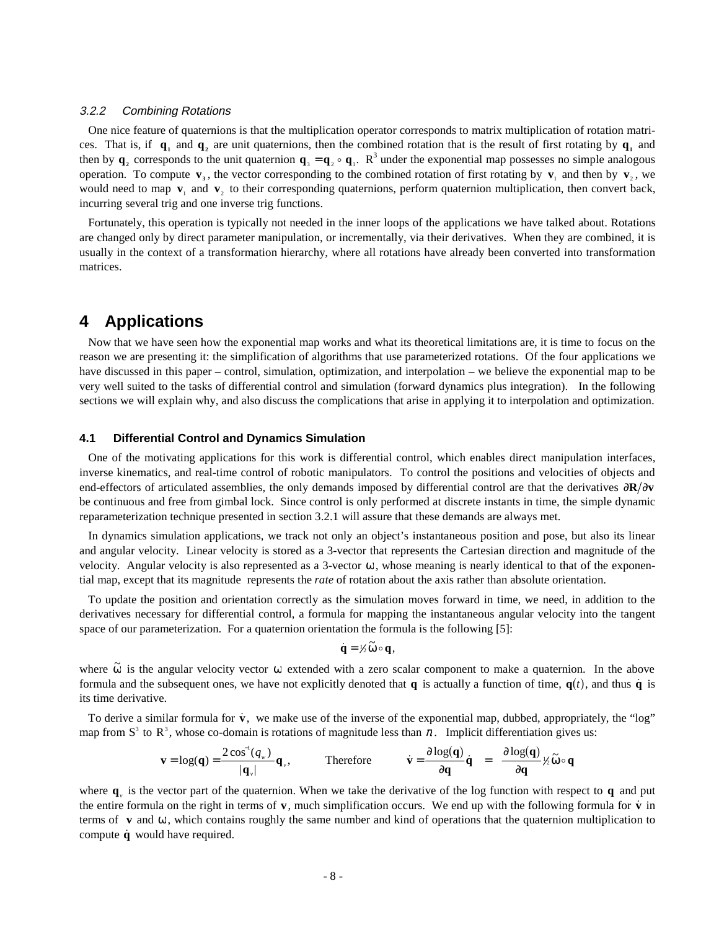### 3.2.2 Combining Rotations

 One nice feature of quaternions is that the multiplication operator corresponds to matrix multiplication of rotation matrices. That is, if  $q_1$  and  $q_2$  are unit quaternions, then the combined rotation that is the result of first rotating by  $q_1$  and then by  $\mathbf{q}_2$  corresponds to the unit quaternion  $\mathbf{q}_3 = \mathbf{q}_2 \circ \mathbf{q}_1$ . R<sup>3</sup> under the exponential map possesses no simple analogous operation. To compute  $\mathbf{v}_3$ , the vector corresponding to the combined rotation of first rotating by  $\mathbf{v}_1$  and then by  $\mathbf{v}_2$ , we would need to map  $\mathbf{v}_1$  and  $\mathbf{v}_2$ , to their corresponding quaternions, perform quaternion multiplication, then convert back, incurring several trig and one inverse trig functions.

 Fortunately, this operation is typically not needed in the inner loops of the applications we have talked about. Rotations are changed only by direct parameter manipulation, or incrementally, via their derivatives. When they are combined, it is usually in the context of a transformation hierarchy, where all rotations have already been converted into transformation matrices.

## **4 Applications**

 Now that we have seen how the exponential map works and what its theoretical limitations are, it is time to focus on the reason we are presenting it: the simplification of algorithms that use parameterized rotations. Of the four applications we have discussed in this paper – control, simulation, optimization, and interpolation – we believe the exponential map to be very well suited to the tasks of differential control and simulation (forward dynamics plus integration). In the following sections we will explain why, and also discuss the complications that arise in applying it to interpolation and optimization.

### **4.1 Differential Control and Dynamics Simulation**

 One of the motivating applications for this work is differential control, which enables direct manipulation interfaces, inverse kinematics, and real-time control of robotic manipulators. To control the positions and velocities of objects and end-effectors of articulated assemblies, the only demands imposed by differential control are that the derivatives  $\partial \mathbf{R}/\partial \mathbf{v}$ be continuous and free from gimbal lock. Since control is only performed at discrete instants in time, the simple dynamic reparameterization technique presented in section 3.2.1 will assure that these demands are always met.

 In dynamics simulation applications, we track not only an object's instantaneous position and pose, but also its linear and angular velocity. Linear velocity is stored as a 3-vector that represents the Cartesian direction and magnitude of the velocity. Angular velocity is also represented as a 3-vector  $\omega$ , whose meaning is nearly identical to that of the exponential map, except that its magnitude represents the *rate* of rotation about the axis rather than absolute orientation.

 To update the position and orientation correctly as the simulation moves forward in time, we need, in addition to the derivatives necessary for differential control, a formula for mapping the instantaneous angular velocity into the tangent space of our parameterization. For a quaternion orientation the formula is the following [5]:

$$
\dot{\mathbf{q}} = \mathcal{V}_2 \widetilde{\boldsymbol{\omega}} \circ \mathbf{q},
$$

where  $\tilde{\omega}$  is the angular velocity vector ω extended with a zero scalar component to make a quaternion. In the above formula and the subsequent ones, we have not explicitly denoted that **q** is actually a function of time,  $\mathbf{q}(t)$ , and thus **q** is its time derivative.

To derive a similar formula for  $\dot{v}$ , we make use of the inverse of the exponential map, dubbed, appropriately, the "log" map from  $S^3$  to  $R^3$ , whose co-domain is rotations of magnitude less than  $\pi$ . Implicit differentiation gives us:

$$
\mathbf{v} = \log(\mathbf{q}) = \frac{2\cos^{-1}(q_{w})}{|\mathbf{q}_{w}|}\mathbf{q}_{w}, \qquad \text{Therefore} \qquad \dot{\mathbf{v}} = \frac{\partial \log(\mathbf{q})}{\partial \mathbf{q}}\dot{\mathbf{q}} = \frac{\partial \log(\mathbf{q})}{\partial \mathbf{q}}\frac{1}{\partial \dot{\mathbf{w}}}\delta \mathbf{q}
$$

where **q***v* is the vector part of the quaternion. When we take the derivative of the log function with respect to **q** and put the entire formula on the right in terms of  $\bf{v}$ , much simplification occurs. We end up with the following formula for  $\bf{v}$  in terms of **v** and ω, which contains roughly the same number and kind of operations that the quaternion multiplication to compute  $\dot{q}$  would have required.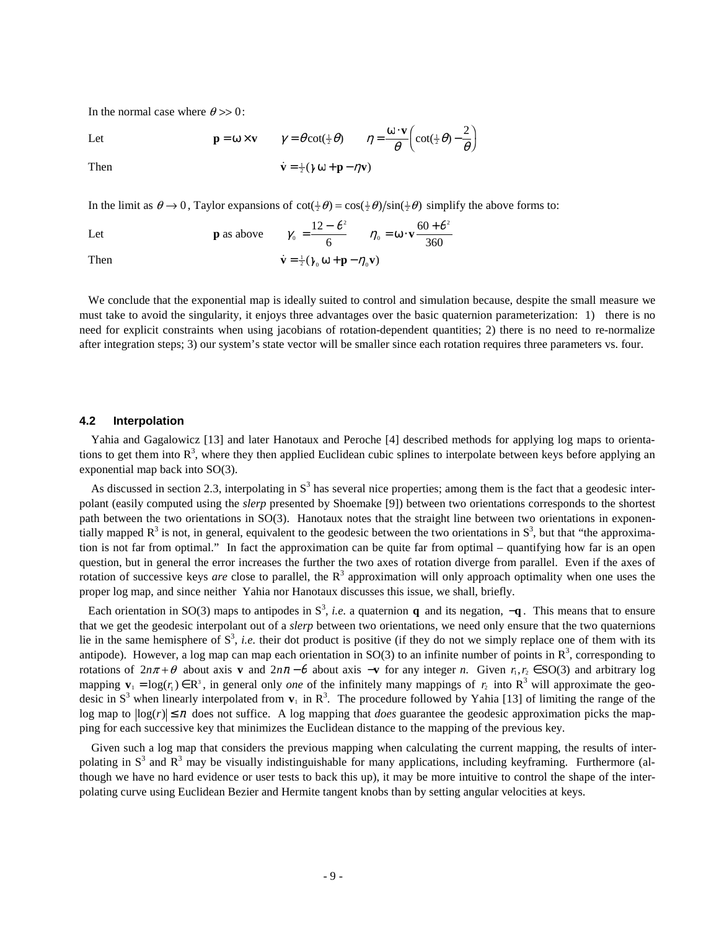In the normal case where  $\theta \gg 0$ :

Let  $\mathbf{p} = 0$ 

$$
= \omega \times \mathbf{v} \qquad \gamma = \theta \cot(\frac{1}{2}\theta) \qquad \eta = \frac{\omega \cdot \mathbf{v}}{\theta} \bigg( \cot(\frac{1}{2}\theta) - \frac{2}{\theta} \bigg)
$$

Then  $\dot{\mathbf{v}} = \frac{1}{2}(\gamma \omega + \mathbf{p} - \eta \mathbf{v})$ 

In the limit as  $\theta \to 0$ , Taylor expansions of  $\cot(\frac{1}{2}\theta) = \cos(\frac{1}{2}\theta)/\sin(\frac{1}{2}\theta)$  simplify the above forms to:

Let **p** as above  $\gamma_0 = \frac{12 - \theta^2}{\epsilon}$   $\eta_0 = \omega \cdot \mathbf{v}$ η θ 0 2  $\frac{12 - \theta^2}{\epsilon}$   $\eta_0 = \omega \cdot \mathbf{v} \frac{60 + \theta^2}{360}$ 6  $=\frac{12-\theta^2}{6} \qquad \eta_0=\omega\cdot\mathbf{v}\frac{60+\theta}{360}$ Then  $\dot{\mathbf{v}} = \frac{1}{2} (\gamma_0 \mathbf{\omega} + \mathbf{p} - \eta_0 \mathbf{v})$ 

 We conclude that the exponential map is ideally suited to control and simulation because, despite the small measure we must take to avoid the singularity, it enjoys three advantages over the basic quaternion parameterization: 1) there is no need for explicit constraints when using jacobians of rotation-dependent quantities; 2) there is no need to re-normalize after integration steps; 3) our system's state vector will be smaller since each rotation requires three parameters vs. four.

### **4.2 Interpolation**

 Yahia and Gagalowicz [13] and later Hanotaux and Peroche [4] described methods for applying log maps to orientations to get them into  $R^3$ , where they then applied Euclidean cubic splines to interpolate between keys before applying an exponential map back into SO(3).

As discussed in section 2.3, interpolating in  $S<sup>3</sup>$  has several nice properties; among them is the fact that a geodesic interpolant (easily computed using the *slerp* presented by Shoemake [9]) between two orientations corresponds to the shortest path between the two orientations in SO(3). Hanotaux notes that the straight line between two orientations in exponentially mapped  $R^3$  is not, in general, equivalent to the geodesic between the two orientations in  $S^3$ , but that "the approximation is not far from optimal." In fact the approximation can be quite far from optimal – quantifying how far is an open question, but in general the error increases the further the two axes of rotation diverge from parallel. Even if the axes of rotation of successive keys *are* close to parallel, the R<sup>3</sup> approximation will only approach optimality when one uses the proper log map, and since neither Yahia nor Hanotaux discusses this issue, we shall, briefly.

Each orientation in SO(3) maps to antipodes in  $S^3$ , *i.e.* a quaternion **q** and its negation,  $-\mathbf{q}$ . This means that to ensure that we get the geodesic interpolant out of a *slerp* between two orientations, we need only ensure that the two quaternions lie in the same hemisphere of  $S^3$ , *i.e.* their dot product is positive (if they do not we simply replace one of them with its antipode). However, a log map can map each orientation in SO(3) to an infinite number of points in  $\mathbb{R}^3$ , corresponding to rotations of  $2n\pi + \theta$  about axis **v** and  $2n\pi - \theta$  about axis  $-\mathbf{v}$  for any integer *n*. Given  $r_1, r_2 \in SO(3)$  and arbitrary log mapping  $\mathbf{v}_1 = \log(r_1) \in \mathbb{R}^3$ , in general only *one* of the infinitely many mappings of  $r_2$  into  $\mathbb{R}^3$  will approximate the geodesic in  $S^3$  when linearly interpolated from  $v_1$  in  $R^3$ . The procedure followed by Yahia [13] of limiting the range of the log map to  $|\log(r)| \leq \pi$  does not suffice. A log mapping that *does* guarantee the geodesic approximation picks the mapping for each successive key that minimizes the Euclidean distance to the mapping of the previous key.

 Given such a log map that considers the previous mapping when calculating the current mapping, the results of interpolating in  $S<sup>3</sup>$  and  $R<sup>3</sup>$  may be visually indistinguishable for many applications, including keyframing. Furthermore (although we have no hard evidence or user tests to back this up), it may be more intuitive to control the shape of the interpolating curve using Euclidean Bezier and Hermite tangent knobs than by setting angular velocities at keys.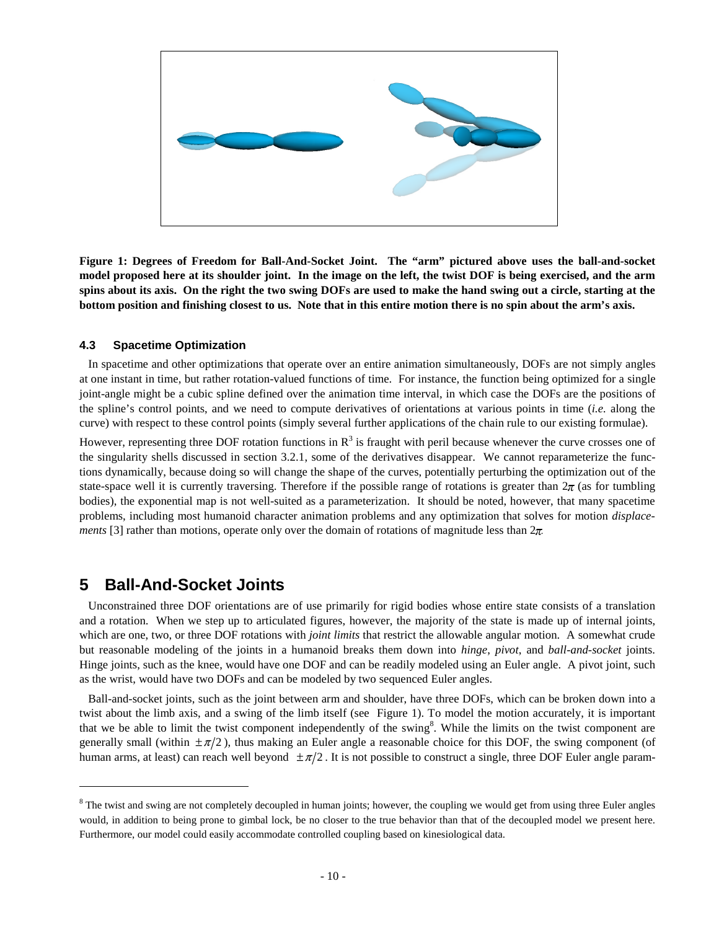

**Figure 1: Degrees of Freedom for Ball-And-Socket Joint. The "arm" pictured above uses the ball-and-socket model proposed here at its shoulder joint. In the image on the left, the twist DOF is being exercised, and the arm spins about its axis. On the right the two swing DOFs are used to make the hand swing out a circle, starting at the bottom position and finishing closest to us. Note that in this entire motion there is no spin about the arm's axis.**

### **4.3 Spacetime Optimization**

 In spacetime and other optimizations that operate over an entire animation simultaneously, DOFs are not simply angles at one instant in time, but rather rotation-valued functions of time. For instance, the function being optimized for a single joint-angle might be a cubic spline defined over the animation time interval, in which case the DOFs are the positions of the spline's control points, and we need to compute derivatives of orientations at various points in time (*i.e.* along the curve) with respect to these control points (simply several further applications of the chain rule to our existing formulae).

However, representing three DOF rotation functions in  $R^3$  is fraught with peril because whenever the curve crosses one of the singularity shells discussed in section 3.2.1, some of the derivatives disappear. We cannot reparameterize the functions dynamically, because doing so will change the shape of the curves, potentially perturbing the optimization out of the state-space well it is currently traversing. Therefore if the possible range of rotations is greater than  $2\pi$  (as for tumbling bodies), the exponential map is not well-suited as a parameterization. It should be noted, however, that many spacetime problems, including most humanoid character animation problems and any optimization that solves for motion *displacements* [3] rather than motions, operate only over the domain of rotations of magnitude less than  $2\pi$ .

# **5 Ball-And-Socket Joints**

 $\overline{a}$ 

 Unconstrained three DOF orientations are of use primarily for rigid bodies whose entire state consists of a translation and a rotation. When we step up to articulated figures, however, the majority of the state is made up of internal joints, which are one, two, or three DOF rotations with *joint limits* that restrict the allowable angular motion. A somewhat crude but reasonable modeling of the joints in a humanoid breaks them down into *hinge*, *pivot*, and *ball-and-socket* joints. Hinge joints, such as the knee, would have one DOF and can be readily modeled using an Euler angle. A pivot joint, such as the wrist, would have two DOFs and can be modeled by two sequenced Euler angles.

 Ball-and-socket joints, such as the joint between arm and shoulder, have three DOFs, which can be broken down into a twist about the limb axis, and a swing of the limb itself (see Figure 1). To model the motion accurately, it is important that we be able to limit the twist component independently of the swing $\delta$ . While the limits on the twist component are generally small (within  $\pm \pi/2$ ), thus making an Euler angle a reasonable choice for this DOF, the swing component (of human arms, at least) can reach well beyond  $\pm \pi/2$ . It is not possible to construct a single, three DOF Euler angle param-

<sup>&</sup>lt;sup>8</sup> The twist and swing are not completely decoupled in human joints; however, the coupling we would get from using three Euler angles would, in addition to being prone to gimbal lock, be no closer to the true behavior than that of the decoupled model we present here. Furthermore, our model could easily accommodate controlled coupling based on kinesiological data.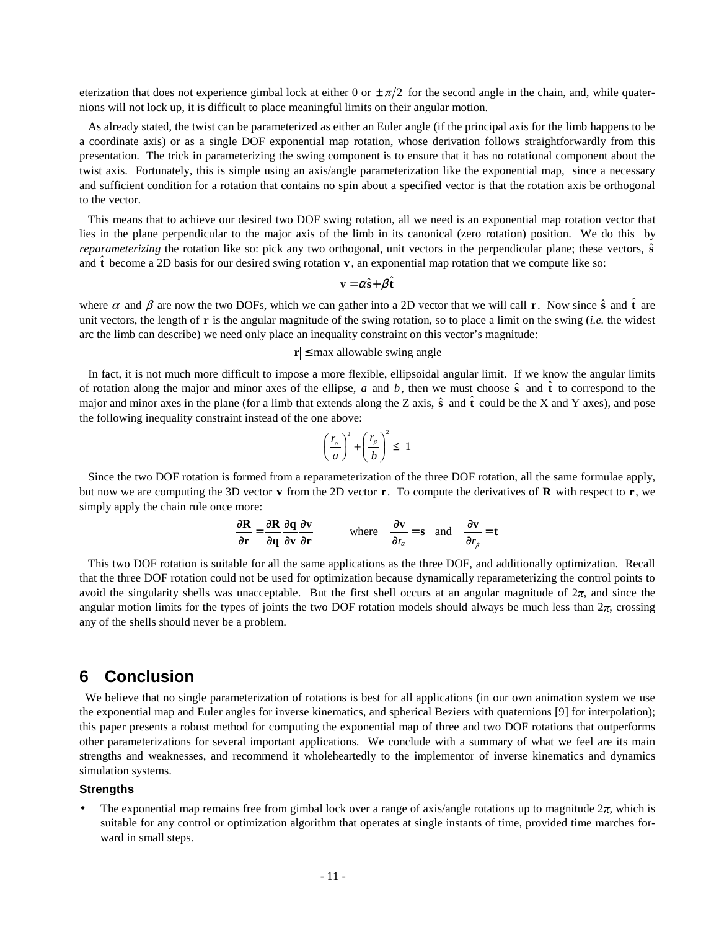eterization that does not experience gimbal lock at either 0 or  $\pm \pi/2$  for the second angle in the chain, and, while quaternions will not lock up, it is difficult to place meaningful limits on their angular motion.

 As already stated, the twist can be parameterized as either an Euler angle (if the principal axis for the limb happens to be a coordinate axis) or as a single DOF exponential map rotation, whose derivation follows straightforwardly from this presentation. The trick in parameterizing the swing component is to ensure that it has no rotational component about the twist axis. Fortunately, this is simple using an axis/angle parameterization like the exponential map, since a necessary and sufficient condition for a rotation that contains no spin about a specified vector is that the rotation axis be orthogonal to the vector.

 This means that to achieve our desired two DOF swing rotation, all we need is an exponential map rotation vector that lies in the plane perpendicular to the major axis of the limb in its canonical (zero rotation) position. We do this by *reparameterizing* the rotation like so: pick any two orthogonal, unit vectors in the perpendicular plane; these vectors,  $\hat{\mathbf{s}}$ and  $\hat{\bf{t}}$  become a 2D basis for our desired swing rotation **v**, an exponential map rotation that we compute like so:

$$
\mathbf{v} = \alpha \hat{\mathbf{s}} + \beta \hat{\mathbf{t}}
$$

where  $\alpha$  and  $\beta$  are now the two DOFs, which we can gather into a 2D vector that we will call **r**. Now since  $\hat{\bf{s}}$  and  $\hat{\bf{t}}$  are unit vectors, the length of **r** is the angular magnitude of the swing rotation, so to place a limit on the swing (*i.e.* the widest arc the limb can describe) we need only place an inequality constraint on this vector's magnitude:

### $|r|$  ≤ max allowable swing angle

 In fact, it is not much more difficult to impose a more flexible, ellipsoidal angular limit. If we know the angular limits of rotation along the major and minor axes of the ellipse, *a* and *b*, then we must choose  $\hat{s}$  and  $\hat{t}$  to correspond to the major and minor axes in the plane (for a limb that extends along the Z axis,  $\hat{s}$  and  $\hat{t}$  could be the X and Y axes), and pose the following inequality constraint instead of the one above:

$$
\left(\frac{r_{\alpha}}{a}\right)^2 + \left(\frac{r_{\beta}}{b}\right)^2 \le 1
$$

 Since the two DOF rotation is formed from a reparameterization of the three DOF rotation, all the same formulae apply, but now we are computing the 3D vector **v** from the 2D vector **r**. To compute the derivatives of **R** with respect to **r**, we simply apply the chain rule once more:

$$
\frac{\partial \mathbf{R}}{\partial \mathbf{r}} = \frac{\partial \mathbf{R}}{\partial \mathbf{q}} \frac{\partial \mathbf{q}}{\partial \mathbf{v}} \frac{\partial \mathbf{v}}{\partial \mathbf{r}}
$$
 where  $\frac{\partial \mathbf{v}}{\partial r_a} = \mathbf{s}$  and  $\frac{\partial \mathbf{v}}{\partial r_\beta} = \mathbf{t}$ 

 This two DOF rotation is suitable for all the same applications as the three DOF, and additionally optimization. Recall that the three DOF rotation could not be used for optimization because dynamically reparameterizing the control points to avoid the singularity shells was unacceptable. But the first shell occurs at an angular magnitude of  $2\pi$ , and since the angular motion limits for the types of joints the two DOF rotation models should always be much less than  $2\pi$ , crossing any of the shells should never be a problem.

## **6 Conclusion**

We believe that no single parameterization of rotations is best for all applications (in our own animation system we use the exponential map and Euler angles for inverse kinematics, and spherical Beziers with quaternions [9] for interpolation); this paper presents a robust method for computing the exponential map of three and two DOF rotations that outperforms other parameterizations for several important applications. We conclude with a summary of what we feel are its main strengths and weaknesses, and recommend it wholeheartedly to the implementor of inverse kinematics and dynamics simulation systems.

#### **Strengths**

The exponential map remains free from gimbal lock over a range of axis/angle rotations up to magnitude  $2\pi$ , which is suitable for any control or optimization algorithm that operates at single instants of time, provided time marches forward in small steps.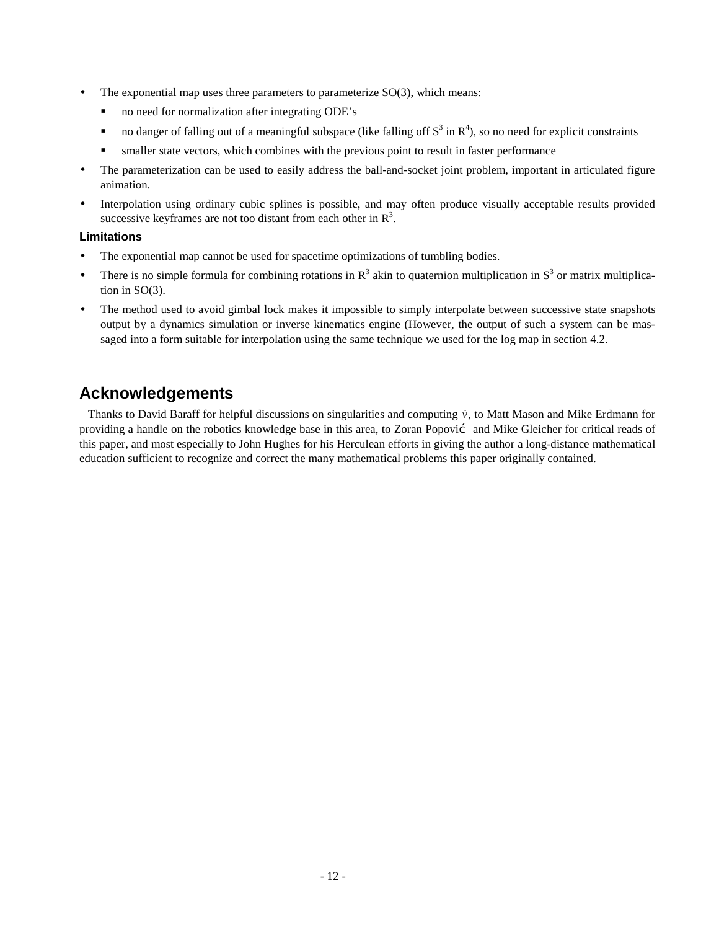- The exponential map uses three parameters to parameterize  $SO(3)$ , which means:
	- no need for normalization after integrating ODE's
	- no danger of falling out of a meaningful subspace (like falling off  $S^3$  in  $R^4$ ), so no need for explicit constraints
	- smaller state vectors, which combines with the previous point to result in faster performance
- The parameterization can be used to easily address the ball-and-socket joint problem, important in articulated figure animation.
- Interpolation using ordinary cubic splines is possible, and may often produce visually acceptable results provided successive keyframes are not too distant from each other in  $\mathbb{R}^3$ .

### **Limitations**

- The exponential map cannot be used for spacetime optimizations of tumbling bodies.
- There is no simple formula for combining rotations in  $\mathbb{R}^3$  akin to quaternion multiplication in  $\mathbb{S}^3$  or matrix multiplication in SO(3).
- The method used to avoid gimbal lock makes it impossible to simply interpolate between successive state snapshots output by a dynamics simulation or inverse kinematics engine (However, the output of such a system can be massaged into a form suitable for interpolation using the same technique we used for the log map in section 4.2.

# **Acknowledgements**

Thanks to David Baraff for helpful discussions on singularities and computing  $\dot{v}$ , to Matt Mason and Mike Erdmann for providing a handle on the robotics knowledge base in this area, to Zoran Popović and Mike Gleicher for critical reads of this paper, and most especially to John Hughes for his Herculean efforts in giving the author a long-distance mathematical education sufficient to recognize and correct the many mathematical problems this paper originally contained.